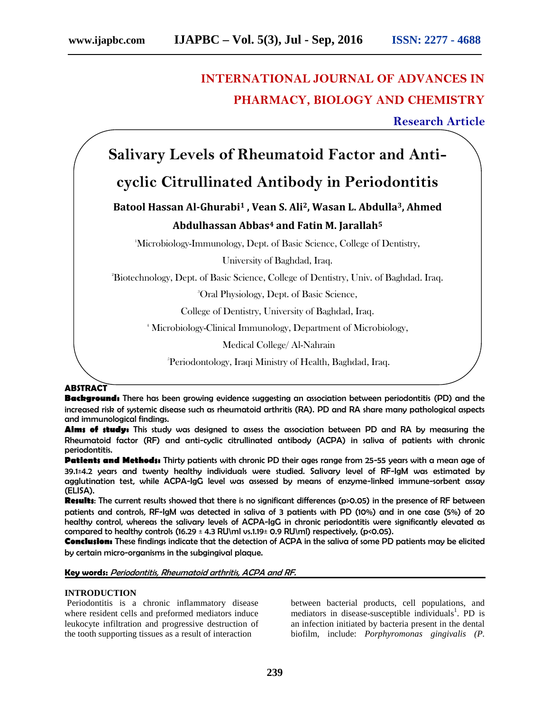# **INTERNATIONAL JOURNAL OF ADVANCES IN PHARMACY, BIOLOGY AND CHEMISTRY**

**Research Article**

# **Salivary Levels of Rheumatoid Factor and Anti-**

# **cyclic Citrullinated Antibody in Periodontitis**

## **Batool Hassan Al-Ghurabi<sup>1</sup> , Vean S. Ali2, Wasan L. Abdulla3, Ahmed Abdulhassan Abbas<sup>4</sup> and Fatin M. Jarallah<sup>5</sup>**

<sup>1</sup>Microbiology-Immunology, Dept. of Basic Science, College of Dentistry,

University of Baghdad, Iraq.

<sup>2</sup>Biotechnology, Dept. of Basic Science, College of Dentistry, Univ. of Baghdad. Iraq.

<sup>3</sup>Oral Physiology, Dept. of Basic Science,

College of Dentistry, University of Baghdad, Iraq.

<sup>4</sup> Microbiology-Clinical Immunology, Department of Microbiology,

Medical College/ Al-Nahrain

<sup>5</sup>Periodontology, Iraqi Ministry of Health, Baghdad, Iraq.

## **ABSTRACT**

**Background:** There has been growing evidence suggesting an association between periodontitis (PD) and the increased risk of systemic disease such as rheumatoid arthritis (RA). PD and RA share many pathological aspects and immunological findings.

Aims of study: This study was designed to assess the association between PD and RA by measuring the Rheumatoid factor (RF) and anti-cyclic citrullinated antibody (ACPA) in saliva of patients with chronic periodontitis.

Patients and Methods: Thirty patients with chronic PD their ages range from 25-55 years with a mean age of 39.1±4.2 years and twenty healthy individuals were studied. Salivary level of RF-IgM was estimated by agglutination test, while ACPA-IgG level was assessed by means of enzyme-linked immune-sorbent assay (ELISA).

**Results**: The current results showed that there is no significant differences (p>0.05) in the presence of RF between patients and controls, RF-IgM was detected in saliva of 3 patients with PD (10%) and in one case (5%) of 20 healthy control, whereas the salivary levels of ACPA-IgG in chronic periodontitis were significantly elevated as compared to healthy controls (16.29  $\pm$  4.3 RU\ml vs.1.19 $\pm$  0.9 RU\ml) respectively, (p<0.05).

**Conclusion:** These findings indicate that the detection of ACPA in the saliva of some PD patients may be elicited by certain micro-organisms in the subgingival plaque.

### **Key words:** *Periodontitis, Rheumatoid arthritis, ACPA and RF.*

### **INTRODUCTION**

Periodontitis is a chronic inflammatory disease where resident cells and preformed mediators induce leukocyte infiltration and progressive destruction of the tooth supporting tissues as a result of interaction

between bacterial products, cell populations, and mediators in disease-susceptible individuals<sup>1</sup>. PD is an infection initiated by bacteria present in the dental biofilm, include: *Porphyromonas gingivalis (P.*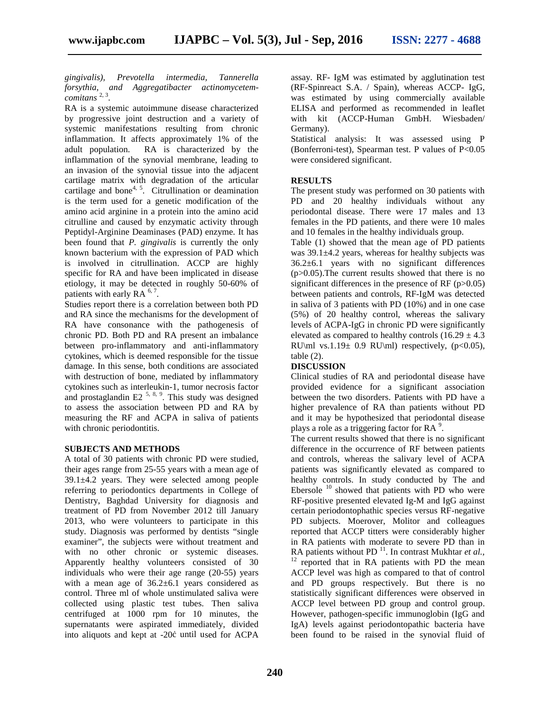*gingivalis), Prevotella intermedia, Tannerella forsythia, and Aggregatibacter actinomycetem comitans* 2, 3 .

RA is a systemic autoimmune disease characterized by progressive joint destruction and a variety of systemic manifestations resulting from chronic inflammation. It affects approximately 1% of the adult population. RA is characterized by the inflammation of the synovial membrane, leading to an invasion of the synovial tissue into the adjacent cartilage matrix with degradation of the articular cartilage and bone<sup>4, 5</sup>. Citrullination or deamination is the term used for a genetic modification of the amino acid arginine in a protein into the amino acid citrulline and caused by enzymatic activity through Peptidyl-Arginine Deaminases (PAD) enzyme. It has been found that *P. gingivalis* is currently the only known bacterium with the expression of PAD which is involved in citrullination. ACCP are highly specific for RA and have been implicated in disease etiology, it may be detected in roughly 50-60% of patients with early RA  $<sup>6, 7</sup>$ .</sup>

Studies report there is a correlation between both PD and RA since the mechanisms for the development of RA have consonance with the pathogenesis of chronic PD. Both PD and RA present an imbalance between pro-inflammatory and anti-inflammatory cytokines, which is deemed responsible for the tissue damage. In this sense, both conditions are associated with destruction of bone, mediated by inflammatory cytokines such as interleukin-1, tumor necrosis factor and prostaglandin E2<sup> $5, 8, 9$ </sup>. This study was designed to assess the association between PD and RA by measuring the RF and ACPA in saliva of patients with chronic periodontitis.

#### **SUBJECTS AND METHODS**

A total of 30 patients with chronic PD were studied, their ages range from 25-55 years with a mean age of 39.1±4.2 years. They were selected among people referring to periodontics departments in College of Dentistry, Baghdad University for diagnosis and treatment of PD from November 2012 till January 2013, who were volunteers to participate in this study. Diagnosis was performed by dentists "single examiner", the subjects were without treatment and with no other chronic or systemic diseases. Apparently healthy volunteers consisted of 30 individuals who were their age range (20-55) years with a mean age of  $36.2 \pm 6.1$  years considered as control. Three ml of whole unstimulated saliva were collected using plastic test tubes. Then saliva centrifuged at 1000 rpm for 10 minutes, the supernatants were aspirated immediately, divided into aliquots and kept at -20 until used for ACPA

assay. RF- IgM was estimated by agglutination test (RF-Spinreact S.A. / Spain), whereas ACCP- IgG, was estimated by using commercially available ELISA and performed as recommended in leaflet with kit (ACCP-Human GmbH. Wiesbaden/ Germany).

Statistical analysis: It was assessed using P (Bonferroni-test), Spearman test. P values of  $P<0.05$ were considered significant.

#### **RESULTS**

The present study was performed on 30 patients with PD and 20 healthy individuals without any periodontal disease. There were 17 males and 13 females in the PD patients, and there were 10 males and 10 females in the healthy individuals group.

Table (1) showed that the mean age of PD patients was 39.1±4.2 years, whereas for healthy subjects was  $36.2\pm6.1$  years with no significant differences  $(p>0.05)$ . The current results showed that there is no significant differences in the presence of RF  $(p>0.05)$ between patients and controls, RF-IgM was detected in saliva of 3 patients with PD (10%) and in one case (5%) of 20 healthy control, whereas the salivary levels of ACPA-IgG in chronic PD were significantly elevated as compared to healthy controls  $(16.29 \pm 4.3)$ RU\ml vs.1.19 $\pm$  0.9 RU\ml) respectively, (p<0.05), table (2).

#### **DISCUSSION**

Clinical studies of RA and periodontal disease have provided evidence for a significant association between the two disorders. Patients with PD have a higher prevalence of RA than patients without PD and it may be hypothesized that periodontal disease plays a role as a triggering factor for RA  $\rm ^{9}$ .

The current results showed that there is no significant difference in the occurrence of RF between patients and controls, whereas the salivary level of ACPA patients was significantly elevated as compared to healthy controls. In study conducted by The and Ebersole  $10$  showed that patients with PD who were RF-positive presented elevated Ig-M and IgG against certain periodontophathic species versus RF-negative PD subjects. Moerover, Molitor and colleagues reported that ACCP titters were considerably higher in RA patients with moderate to severe PD than in RA patients without PD $^{11}$ . In contrast Mukhtar *et al.*, <sup>12</sup> reported that in RA patients with PD the mean ACCP level was high as compared to that of control and PD groups respectively. But there is no statistically significant differences were observed in ACCP level between PD group and control group. However, pathogen-specific immunoglobin (IgG and IgA) levels against periodontopathic bacteria have been found to be raised in the synovial fluid of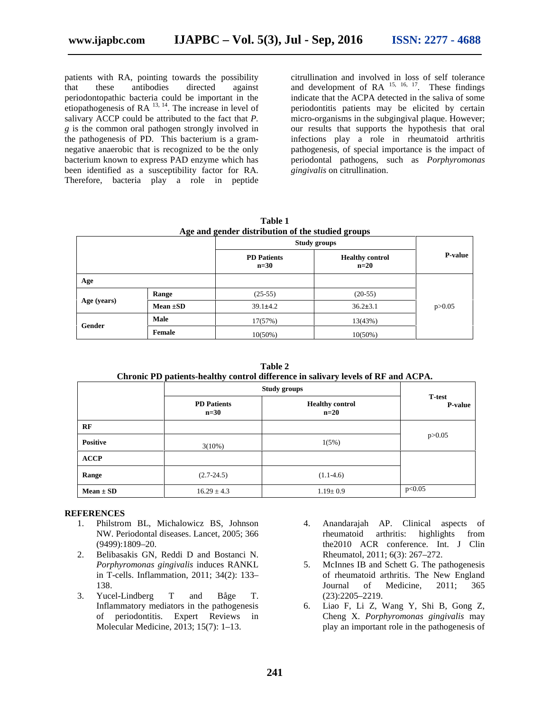patients with RA, pointing towards the possibility that these antibodies directed against periodontopathic bacteria could be important in the etiopathogenesis of RA  $^{13, 14}$ . The increase in level of salivary ACCP could be attributed to the fact that *P. g* is the common oral pathogen strongly involved in the pathogenesis of PD. This bacterium is a gram negative anaerobic that is recognized to be the only bacterium known to express PAD enzyme which has been identified as a susceptibility factor for RA. Therefore, bacteria play a role in peptide

citrullination and involved in loss of self tolerance and development of  $RA$ <sup>15, 16, 17</sup>. These findings indicate that the ACPA detected in the saliva of some periodontitis patients may be elicited by certain micro-organisms in the subgingival plaque. However; our results that supports the hypothesis that oral infections play a role in rheumatoid arthritis pathogenesis, of special importance is the impact of periodontal pathogens, such as *Porphyromonas gingivalis* on citrullination.

**Table 1 Age and gender distribution of the studied groups**

|             |               | <b>Study groups</b>          |                                  |                |
|-------------|---------------|------------------------------|----------------------------------|----------------|
|             |               | <b>PD</b> Patients<br>$n=30$ | <b>Healthy control</b><br>$n=20$ | <b>P-value</b> |
| Age         |               |                              |                                  |                |
| Age (years) | Range         | $(25-55)$                    | $(20-55)$                        | p > 0.05       |
|             | Mean $\pm SD$ | $39.1 \pm 4.2$               | $36.2 \pm 3.1$                   |                |
| Gender      | Male          | 17(57%)                      | 13(43%)                          |                |
|             | Female        | $10(50\%)$                   | $10(50\%)$                       |                |

**Table 2 Chronic PD patients-healthy control difference in salivary levels of RF and ACPA.**

|                 | <b>Study groups</b>          |                                  |                                  |  |
|-----------------|------------------------------|----------------------------------|----------------------------------|--|
|                 | <b>PD</b> Patients<br>$n=30$ | <b>Healthy control</b><br>$n=20$ | <b>T</b> -test<br><b>P-value</b> |  |
| RF              |                              |                                  |                                  |  |
| <b>Positive</b> | $3(10\%)$                    | 1(5%)                            | p > 0.05                         |  |
| <b>ACCP</b>     |                              |                                  |                                  |  |
| Range           | $(2.7 - 24.5)$               | $(1.1-4.6)$                      |                                  |  |
| $Mean \pm SD$   | $16.29 \pm 4.3$              | $1.19 \pm 0.9$                   | p<0.05                           |  |

#### **REFERENCES**

- 1. Philstrom BL, Michalowicz BS, Johnson NW. Periodontal diseases. Lancet, 2005; 366 (9499):1809–20.
- 2. Belibasakis GN, Reddi D and Bostanci N. *Porphyromonas gingivalis* induces RANKL in T-cells. Inflammation, 2011; 34(2): 133– 138.
- 3. Yucel-Lindberg T and Båge T. Inflammatory mediators in the pathogenesis of periodontitis. Expert Reviews in Molecular Medicine, 2013; 15(7): 1–13.
- 4. Anandarajah AP. Clinical aspects of rheumatoid arthritis: highlights from the2010 ACR conference. Int. J Clin Rheumatol, 2011; 6(3): 267–272.
- 5. McInnes IB and Schett G. The pathogenesis of rheumatoid arthritis. The New England Journal of Medicine, 2011; 365 (23):2205–2219.
- 6. Liao F, Li Z, Wang Y, Shi B, Gong Z, Cheng X. *Porphyromonas gingivalis* may play an important role in the pathogenesis of